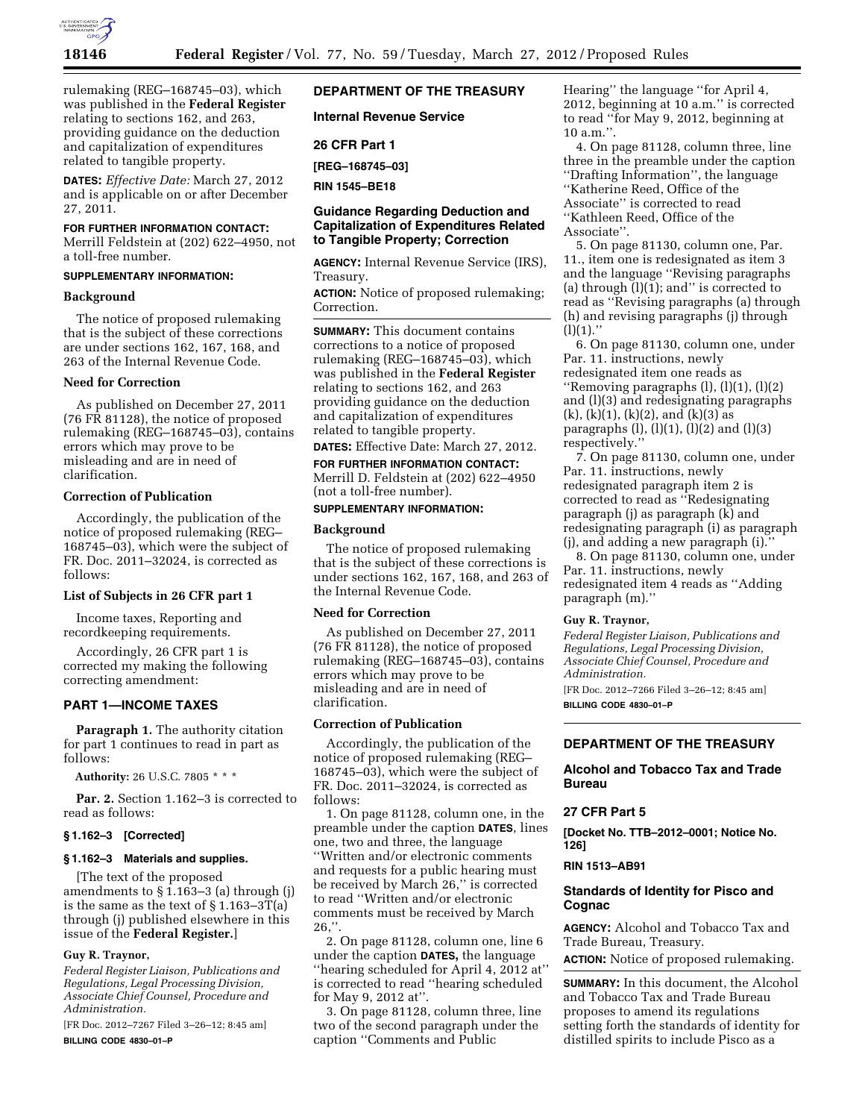

rulemaking (REG–168745–03), which was published in the **Federal Register**  relating to sections 162, and 263, providing guidance on the deduction and capitalization of expenditures related to tangible property.

**DATES:** *Effective Date:* March 27, 2012 and is applicable on or after December 27, 2011.

## **FOR FURTHER INFORMATION CONTACT:**

Merrill Feldstein at (202) 622–4950, not a toll-free number.

# **SUPPLEMENTARY INFORMATION:**

## **Background**

The notice of proposed rulemaking that is the subject of these corrections are under sections 162, 167, 168, and 263 of the Internal Revenue Code.

#### **Need for Correction**

As published on December 27, 2011 (76 FR 81128), the notice of proposed rulemaking (REG–168745–03), contains errors which may prove to be misleading and are in need of clarification.

# **Correction of Publication**

Accordingly, the publication of the notice of proposed rulemaking (REG– 168745–03), which were the subject of FR. Doc. 2011–32024, is corrected as follows:

# **List of Subjects in 26 CFR part 1**

Income taxes, Reporting and recordkeeping requirements.

Accordingly, 26 CFR part 1 is corrected my making the following correcting amendment:

## **PART 1—INCOME TAXES**

**Paragraph 1.** The authority citation for part 1 continues to read in part as follows:

**Authority:** 26 U.S.C. 7805 \* \* \*

Par. 2. Section 1.162-3 is corrected to read as follows:

## **§ 1.162–3 [Corrected]**

#### **§ 1.162–3 Materials and supplies.**

[The text of the proposed amendments to § 1.163–3 (a) through (j) is the same as the text of  $\S 1.163 - 3T(a)$ through (j) published elsewhere in this issue of the **Federal Register.**]

## **Guy R. Traynor,**

*Federal Register Liaison, Publications and Regulations, Legal Processing Division, Associate Chief Counsel, Procedure and Administration.* 

[FR Doc. 2012–7267 Filed 3–26–12; 8:45 am] **BILLING CODE 4830–01–P** 

# **DEPARTMENT OF THE TREASURY**

**Internal Revenue Service** 

**26 CFR Part 1** 

**[REG–168745–03]** 

**RIN 1545–BE18** 

# **Guidance Regarding Deduction and Capitalization of Expenditures Related to Tangible Property; Correction**

**AGENCY:** Internal Revenue Service (IRS), Treasury.

**ACTION:** Notice of proposed rulemaking; Correction.

**SUMMARY:** This document contains corrections to a notice of proposed rulemaking (REG–168745–03), which was published in the **Federal Register**  relating to sections 162, and 263 providing guidance on the deduction and capitalization of expenditures related to tangible property.

**DATES:** Effective Date: March 27, 2012.

**FOR FURTHER INFORMATION CONTACT:**  Merrill D. Feldstein at (202) 622–4950 (not a toll-free number).

# **SUPPLEMENTARY INFORMATION:**

## **Background**

The notice of proposed rulemaking that is the subject of these corrections is under sections 162, 167, 168, and 263 of the Internal Revenue Code.

# **Need for Correction**

As published on December 27, 2011 (76 FR 81128), the notice of proposed rulemaking (REG–168745–03), contains errors which may prove to be misleading and are in need of clarification.

# **Correction of Publication**

Accordingly, the publication of the notice of proposed rulemaking (REG– 168745–03), which were the subject of FR. Doc. 2011–32024, is corrected as follows:

1. On page 81128, column one, in the preamble under the caption **DATES**, lines one, two and three, the language ''Written and/or electronic comments and requests for a public hearing must be received by March 26,'' is corrected to read ''Written and/or electronic comments must be received by March  $26$ ,".

2. On page 81128, column one, line 6 under the caption **DATES,** the language ''hearing scheduled for April 4, 2012 at'' is corrected to read ''hearing scheduled for May 9, 2012 at''.

3. On page 81128, column three, line two of the second paragraph under the caption ''Comments and Public

Hearing'' the language ''for April 4, 2012, beginning at 10 a.m.'' is corrected to read ''for May 9, 2012, beginning at  $10$  a.m.".

4. On page 81128, column three, line three in the preamble under the caption ''Drafting Information'', the language ''Katherine Reed, Office of the Associate'' is corrected to read ''Kathleen Reed, Office of the Associate''.

5. On page 81130, column one, Par. 11., item one is redesignated as item 3 and the language ''Revising paragraphs (a) through  $(1)(1)$ ; and" is corrected to read as ''Revising paragraphs (a) through (h) and revising paragraphs (j) through  $(l)(1)$ ."

6. On page 81130, column one, under Par. 11. instructions, newly redesignated item one reads as ''Removing paragraphs (l), (l)(1), (l)(2) and (l)(3) and redesignating paragraphs  $(k)$ ,  $(k)(1)$ ,  $(k)(2)$ , and  $(k)(3)$  as paragraphs  $(l)$ ,  $(l)(1)$ ,  $(l)(2)$  and  $(l)(3)$ respectively.''

7. On page 81130, column one, under Par. 11. instructions, newly redesignated paragraph item 2 is corrected to read as ''Redesignating paragraph (j) as paragraph (k) and redesignating paragraph (i) as paragraph (j), and adding a new paragraph (i).''

8. On page 81130, column one, under Par. 11. instructions, newly redesignated item 4 reads as ''Adding paragraph (m).''

## **Guy R. Traynor,**

*Federal Register Liaison, Publications and Regulations, Legal Processing Division, Associate Chief Counsel, Procedure and Administration.* 

[FR Doc. 2012–7266 Filed 3–26–12; 8:45 am] **BILLING CODE 4830–01–P** 

# **DEPARTMENT OF THE TREASURY**

# **Alcohol and Tobacco Tax and Trade Bureau**

## **27 CFR Part 5**

**[Docket No. TTB–2012–0001; Notice No. 126]** 

## **RIN 1513–AB91**

## **Standards of Identity for Pisco and Cognac**

**AGENCY:** Alcohol and Tobacco Tax and Trade Bureau, Treasury.

**ACTION:** Notice of proposed rulemaking.

**SUMMARY:** In this document, the Alcohol and Tobacco Tax and Trade Bureau proposes to amend its regulations setting forth the standards of identity for distilled spirits to include Pisco as a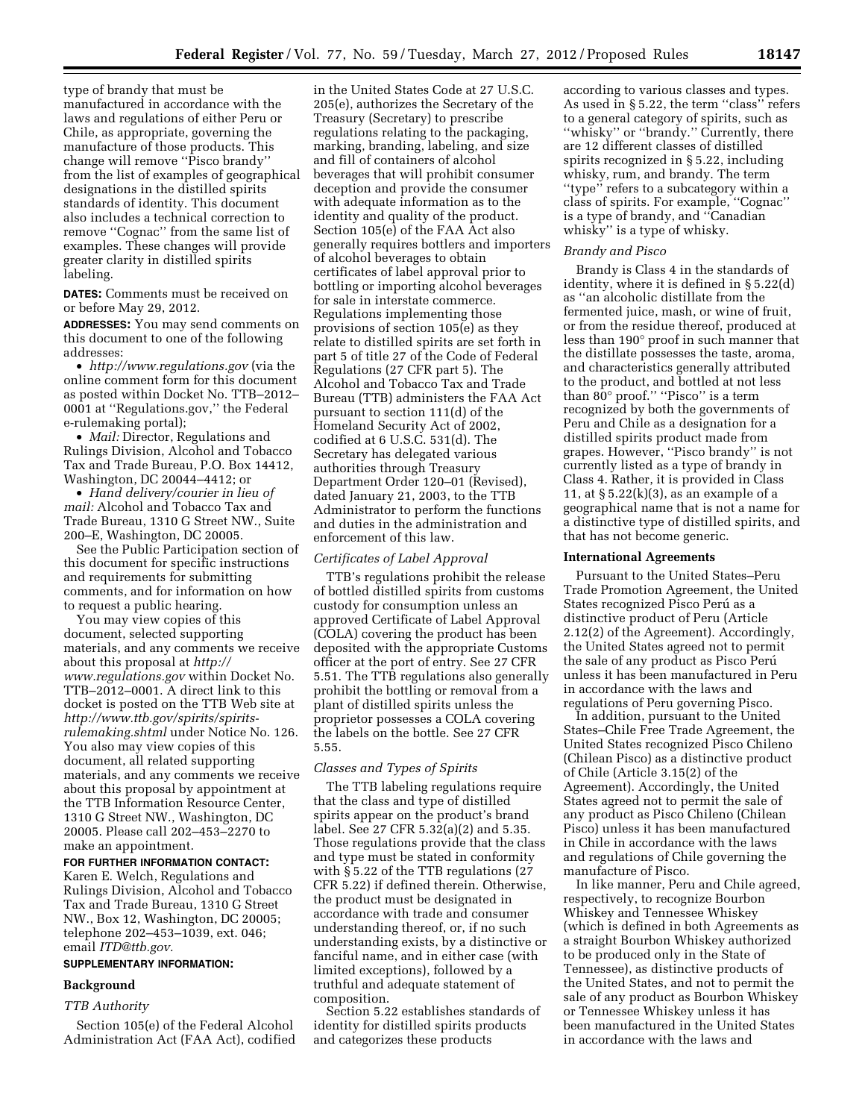type of brandy that must be manufactured in accordance with the laws and regulations of either Peru or Chile, as appropriate, governing the manufacture of those products. This change will remove ''Pisco brandy'' from the list of examples of geographical designations in the distilled spirits standards of identity. This document also includes a technical correction to remove ''Cognac'' from the same list of examples. These changes will provide greater clarity in distilled spirits labeling.

**DATES:** Comments must be received on or before May 29, 2012.

**ADDRESSES:** You may send comments on this document to one of the following addresses:

• *<http://www.regulations.gov>* (via the online comment form for this document as posted within Docket No. TTB–2012– 0001 at ''Regulations.gov,'' the Federal e-rulemaking portal);

• *Mail:* Director, Regulations and Rulings Division, Alcohol and Tobacco Tax and Trade Bureau, P.O. Box 14412, Washington, DC 20044–4412; or

• *Hand delivery/courier in lieu of mail:* Alcohol and Tobacco Tax and Trade Bureau, 1310 G Street NW., Suite 200–E, Washington, DC 20005.

See the Public Participation section of this document for specific instructions and requirements for submitting comments, and for information on how to request a public hearing.

You may view copies of this document, selected supporting materials, and any comments we receive about this proposal at *[http://](http://www.regulations.gov) [www.regulations.gov](http://www.regulations.gov)* within Docket No. TTB–2012–0001. A direct link to this docket is posted on the TTB Web site at *[http://www.ttb.gov/spirits/spirits](http://www.ttb.gov/spirits/spirits-rulemaking.shtml)[rulemaking.shtml](http://www.ttb.gov/spirits/spirits-rulemaking.shtml)* under Notice No. 126. You also may view copies of this document, all related supporting materials, and any comments we receive about this proposal by appointment at the TTB Information Resource Center, 1310 G Street NW., Washington, DC 20005. Please call 202–453–2270 to make an appointment.

# **FOR FURTHER INFORMATION CONTACT:**

Karen E. Welch, Regulations and Rulings Division, Alcohol and Tobacco Tax and Trade Bureau, 1310 G Street NW., Box 12, Washington, DC 20005; telephone 202–453–1039, ext. 046; email *[ITD@ttb.gov.](mailto:ITD@ttb.gov)* 

# **SUPPLEMENTARY INFORMATION:**

# **Background**

# *TTB Authority*

Section 105(e) of the Federal Alcohol Administration Act (FAA Act), codified

in the United States Code at 27 U.S.C. 205(e), authorizes the Secretary of the Treasury (Secretary) to prescribe regulations relating to the packaging, marking, branding, labeling, and size and fill of containers of alcohol beverages that will prohibit consumer deception and provide the consumer with adequate information as to the identity and quality of the product. Section 105(e) of the FAA Act also generally requires bottlers and importers of alcohol beverages to obtain certificates of label approval prior to bottling or importing alcohol beverages for sale in interstate commerce. Regulations implementing those provisions of section 105(e) as they relate to distilled spirits are set forth in part 5 of title 27 of the Code of Federal Regulations (27 CFR part 5). The Alcohol and Tobacco Tax and Trade Bureau (TTB) administers the FAA Act pursuant to section 111(d) of the Homeland Security Act of 2002, codified at 6 U.S.C. 531(d). The Secretary has delegated various authorities through Treasury Department Order 120–01 (Revised), dated January 21, 2003, to the TTB Administrator to perform the functions and duties in the administration and enforcement of this law.

#### *Certificates of Label Approval*

TTB's regulations prohibit the release of bottled distilled spirits from customs custody for consumption unless an approved Certificate of Label Approval (COLA) covering the product has been deposited with the appropriate Customs officer at the port of entry. See 27 CFR 5.51. The TTB regulations also generally prohibit the bottling or removal from a plant of distilled spirits unless the proprietor possesses a COLA covering the labels on the bottle. See 27 CFR 5.55.

## *Classes and Types of Spirits*

The TTB labeling regulations require that the class and type of distilled spirits appear on the product's brand label. See 27 CFR 5.32(a)(2) and 5.35. Those regulations provide that the class and type must be stated in conformity with § 5.22 of the TTB regulations (27 CFR 5.22) if defined therein. Otherwise, the product must be designated in accordance with trade and consumer understanding thereof, or, if no such understanding exists, by a distinctive or fanciful name, and in either case (with limited exceptions), followed by a truthful and adequate statement of composition.

Section 5.22 establishes standards of identity for distilled spirits products and categorizes these products

according to various classes and types. As used in § 5.22, the term ''class'' refers to a general category of spirits, such as ''whisky'' or ''brandy.'' Currently, there are 12 different classes of distilled spirits recognized in § 5.22, including whisky, rum, and brandy. The term ''type'' refers to a subcategory within a class of spirits. For example, ''Cognac'' is a type of brandy, and ''Canadian whisky'' is a type of whisky.

#### *Brandy and Pisco*

Brandy is Class 4 in the standards of identity, where it is defined in § 5.22(d) as ''an alcoholic distillate from the fermented juice, mash, or wine of fruit, or from the residue thereof, produced at less than 190° proof in such manner that the distillate possesses the taste, aroma, and characteristics generally attributed to the product, and bottled at not less than 80° proof." "Pisco" is a term recognized by both the governments of Peru and Chile as a designation for a distilled spirits product made from grapes. However, ''Pisco brandy'' is not currently listed as a type of brandy in Class 4. Rather, it is provided in Class 11, at  $\S 5.22(k)(3)$ , as an example of a geographical name that is not a name for a distinctive type of distilled spirits, and that has not become generic.

## **International Agreements**

Pursuant to the United States–Peru Trade Promotion Agreement, the United States recognized Pisco Perú as a distinctive product of Peru (Article 2.12(2) of the Agreement). Accordingly, the United States agreed not to permit the sale of any product as Pisco Perú unless it has been manufactured in Peru in accordance with the laws and regulations of Peru governing Pisco.

In addition, pursuant to the United States–Chile Free Trade Agreement, the United States recognized Pisco Chileno (Chilean Pisco) as a distinctive product of Chile (Article 3.15(2) of the Agreement). Accordingly, the United States agreed not to permit the sale of any product as Pisco Chileno (Chilean Pisco) unless it has been manufactured in Chile in accordance with the laws and regulations of Chile governing the manufacture of Pisco.

In like manner, Peru and Chile agreed, respectively, to recognize Bourbon Whiskey and Tennessee Whiskey (which is defined in both Agreements as a straight Bourbon Whiskey authorized to be produced only in the State of Tennessee), as distinctive products of the United States, and not to permit the sale of any product as Bourbon Whiskey or Tennessee Whiskey unless it has been manufactured in the United States in accordance with the laws and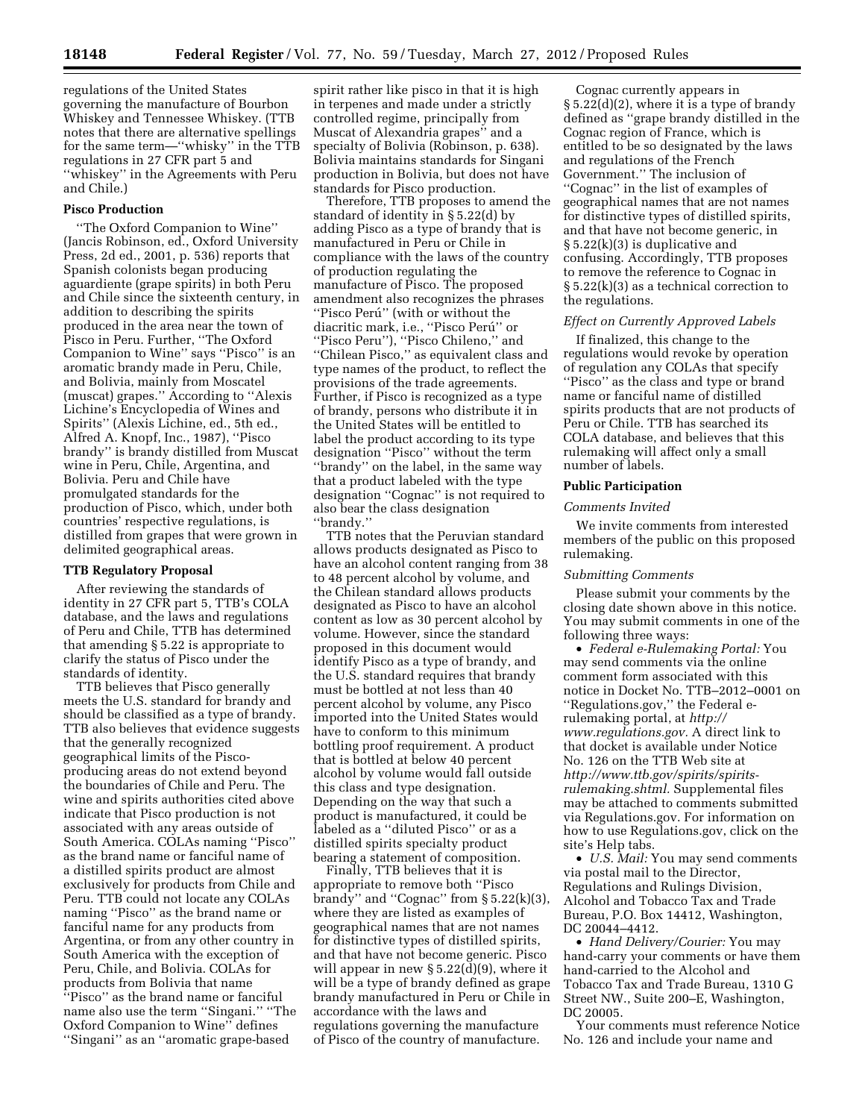regulations of the United States governing the manufacture of Bourbon Whiskey and Tennessee Whiskey. (TTB notes that there are alternative spellings for the same term—''whisky'' in the TTB regulations in 27 CFR part 5 and ''whiskey'' in the Agreements with Peru and Chile.)

### **Pisco Production**

''The Oxford Companion to Wine'' (Jancis Robinson, ed., Oxford University Press, 2d ed., 2001, p. 536) reports that Spanish colonists began producing aguardiente (grape spirits) in both Peru and Chile since the sixteenth century, in addition to describing the spirits produced in the area near the town of Pisco in Peru. Further, ''The Oxford Companion to Wine'' says ''Pisco'' is an aromatic brandy made in Peru, Chile, and Bolivia, mainly from Moscatel (muscat) grapes.'' According to ''Alexis Lichine's Encyclopedia of Wines and Spirits'' (Alexis Lichine, ed., 5th ed., Alfred A. Knopf, Inc., 1987), ''Pisco brandy'' is brandy distilled from Muscat wine in Peru, Chile, Argentina, and Bolivia. Peru and Chile have promulgated standards for the production of Pisco, which, under both countries' respective regulations, is distilled from grapes that were grown in delimited geographical areas.

## **TTB Regulatory Proposal**

After reviewing the standards of identity in 27 CFR part 5, TTB's COLA database, and the laws and regulations of Peru and Chile, TTB has determined that amending § 5.22 is appropriate to clarify the status of Pisco under the standards of identity.

TTB believes that Pisco generally meets the U.S. standard for brandy and should be classified as a type of brandy. TTB also believes that evidence suggests that the generally recognized geographical limits of the Piscoproducing areas do not extend beyond the boundaries of Chile and Peru. The wine and spirits authorities cited above indicate that Pisco production is not associated with any areas outside of South America. COLAs naming ''Pisco'' as the brand name or fanciful name of a distilled spirits product are almost exclusively for products from Chile and Peru. TTB could not locate any COLAs naming ''Pisco'' as the brand name or fanciful name for any products from Argentina, or from any other country in South America with the exception of Peru, Chile, and Bolivia. COLAs for products from Bolivia that name ''Pisco'' as the brand name or fanciful name also use the term ''Singani.'' ''The Oxford Companion to Wine'' defines ''Singani'' as an ''aromatic grape-based

spirit rather like pisco in that it is high in terpenes and made under a strictly controlled regime, principally from Muscat of Alexandria grapes'' and a specialty of Bolivia (Robinson, p. 638). Bolivia maintains standards for Singani production in Bolivia, but does not have standards for Pisco production.

Therefore, TTB proposes to amend the standard of identity in § 5.22(d) by adding Pisco as a type of brandy that is manufactured in Peru or Chile in compliance with the laws of the country of production regulating the manufacture of Pisco. The proposed amendment also recognizes the phrases ''Pisco Peru´'' (with or without the diacritic mark, i.e., "Pisco Perú" or ''Pisco Peru''), ''Pisco Chileno,'' and ''Chilean Pisco,'' as equivalent class and type names of the product, to reflect the provisions of the trade agreements. Further, if Pisco is recognized as a type of brandy, persons who distribute it in the United States will be entitled to label the product according to its type designation ''Pisco'' without the term ''brandy'' on the label, in the same way that a product labeled with the type designation ''Cognac'' is not required to also bear the class designation ''brandy.''

TTB notes that the Peruvian standard allows products designated as Pisco to have an alcohol content ranging from 38 to 48 percent alcohol by volume, and the Chilean standard allows products designated as Pisco to have an alcohol content as low as 30 percent alcohol by volume. However, since the standard proposed in this document would identify Pisco as a type of brandy, and the U.S. standard requires that brandy must be bottled at not less than 40 percent alcohol by volume, any Pisco imported into the United States would have to conform to this minimum bottling proof requirement. A product that is bottled at below 40 percent alcohol by volume would fall outside this class and type designation. Depending on the way that such a product is manufactured, it could be labeled as a ''diluted Pisco'' or as a distilled spirits specialty product bearing a statement of composition.

Finally, TTB believes that it is appropriate to remove both ''Pisco brandy" and "Cognac" from  $\S 5.22(k)(3)$ , where they are listed as examples of geographical names that are not names for distinctive types of distilled spirits, and that have not become generic. Pisco will appear in new  $\S 5.22(\mathrm{d})(9)$ , where it will be a type of brandy defined as grape brandy manufactured in Peru or Chile in accordance with the laws and regulations governing the manufacture of Pisco of the country of manufacture.

Cognac currently appears in § 5.22(d)(2), where it is a type of brandy defined as ''grape brandy distilled in the Cognac region of France, which is entitled to be so designated by the laws and regulations of the French Government.'' The inclusion of ''Cognac'' in the list of examples of geographical names that are not names for distinctive types of distilled spirits, and that have not become generic, in § 5.22(k)(3) is duplicative and confusing. Accordingly, TTB proposes to remove the reference to Cognac in § 5.22(k)(3) as a technical correction to the regulations.

#### *Effect on Currently Approved Labels*

If finalized, this change to the regulations would revoke by operation of regulation any COLAs that specify ''Pisco'' as the class and type or brand name or fanciful name of distilled spirits products that are not products of Peru or Chile. TTB has searched its COLA database, and believes that this rulemaking will affect only a small number of labels.

# **Public Participation**

## *Comments Invited*

We invite comments from interested members of the public on this proposed rulemaking.

### *Submitting Comments*

Please submit your comments by the closing date shown above in this notice. You may submit comments in one of the following three ways:

• *Federal e-Rulemaking Portal:* You may send comments via the online comment form associated with this notice in Docket No. TTB–2012–0001 on ''Regulations.gov,'' the Federal erulemaking portal, at *[http://](http://www.regulations.gov) [www.regulations.gov.](http://www.regulations.gov)* A direct link to that docket is available under Notice No. 126 on the TTB Web site at *[http://www.ttb.gov/spirits/spirits](http://www.ttb.gov/spirits/spirits-rulemaking.shtml)[rulemaking.shtml.](http://www.ttb.gov/spirits/spirits-rulemaking.shtml)* Supplemental files may be attached to comments submitted via Regulations.gov. For information on how to use Regulations.gov, click on the site's Help tabs.

• *U.S. Mail:* You may send comments via postal mail to the Director, Regulations and Rulings Division, Alcohol and Tobacco Tax and Trade Bureau, P.O. Box 14412, Washington, DC 20044–4412.

• *Hand Delivery/Courier:* You may hand-carry your comments or have them hand-carried to the Alcohol and Tobacco Tax and Trade Bureau, 1310 G Street NW., Suite 200–E, Washington, DC 20005.

Your comments must reference Notice No. 126 and include your name and